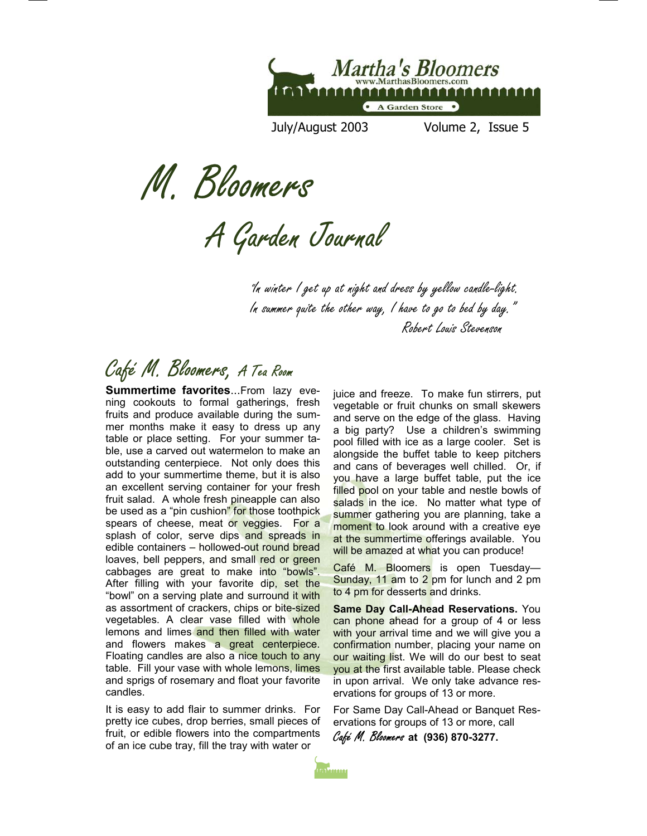

July/August 2003 Volume 2, Issue 5

M. Bloomers

A Garden Journal

"In winter I get up at night and dress by yellow candle-light. In summer quite the other way, I have to go to bed by day." Robert Louis Stevenson

# Café M. Bloomers, A Tea Room

**Summertime favorites**...From lazy evening cookouts to formal gatherings, fresh fruits and produce available during the summer months make it easy to dress up any table or place setting. For your summer table, use a carved out watermelon to make an outstanding centerpiece. Not only does this add to your summertime theme, but it is also an excellent serving container for your fresh fruit salad. A whole fresh pineapple can also be used as a "pin cushion" for those toothpick spears of cheese, meat or veggies. For a splash of color, serve dips and spreads in edible containers – hollowed-out round bread loaves, bell peppers, and small red or green cabbages are great to make into "bowls". After filling with your favorite dip, set the "bowl" on a serving plate and surround it with as assortment of crackers, chips or bite-sized vegetables. A clear vase filled with whole lemons and limes and then filled with water and flowers makes a great centerpiece. Floating candles are also a nice touch to any table. Fill your vase with whole lemons, limes and sprigs of rosemary and float your favorite candles.

It is easy to add flair to summer drinks. For pretty ice cubes, drop berries, small pieces of fruit, or edible flowers into the compartments of an ice cube tray, fill the tray with water or

juice and freeze. To make fun stirrers, put vegetable or fruit chunks on small skewers and serve on the edge of the glass. Having a big party? Use a children's swimming pool filled with ice as a large cooler. Set is alongside the buffet table to keep pitchers and cans of beverages well chilled. Or, if you have a large buffet table, put the ice filled pool on your table and nestle bowls of salads in the ice. No matter what type of summer gathering you are planning, take a moment to look around with a creative eye at the summertime offerings available. You will be amazed at what you can produce!

Café M. Bloomers is open Tuesday-Sunday, 11 am to 2 pm for lunch and 2 pm to 4 pm for desserts and drinks.

**Same Day Call-Ahead Reservations.** You can phone ahead for a group of 4 or less with your arrival time and we will give you a confirmation number, placing your name on our waiting list. We will do our best to seat you at the first available table. Please check in upon arrival. We only take advance reservations for groups of 13 or more.

For Same Day Call-Ahead or Banquet Reservations for groups of 13 or more, call

Café M. Bloomers **at (936) 870-3277.** 

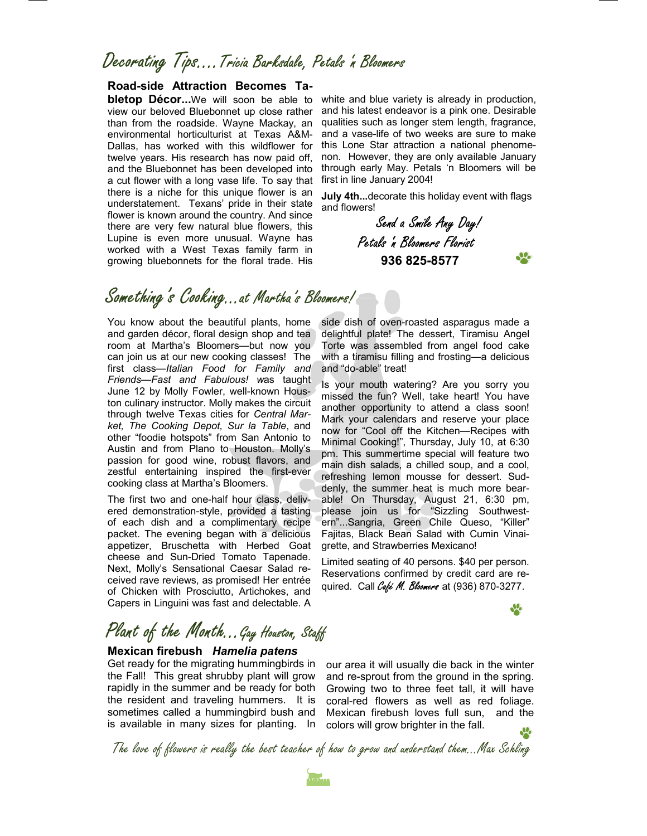### Decorating Tips….Tricia Barksdale, Petals 'n Bloomers

### **Road-side Attraction Becomes Ta-**

**bletop Décor...**We will soon be able to view our beloved Bluebonnet up close rather than from the roadside. Wayne Mackay, an environmental horticulturist at Texas A&M-Dallas, has worked with this wildflower for twelve years. His research has now paid off, and the Bluebonnet has been developed into a cut flower with a long vase life. To say that there is a niche for this unique flower is an understatement. Texans' pride in their state flower is known around the country. And since there are very few natural blue flowers, this Lupine is even more unusual. Wayne has worked with a West Texas family farm in growing bluebonnets for the floral trade. His

white and blue variety is already in production, and his latest endeavor is a pink one. Desirable qualities such as longer stem length, fragrance, and a vase-life of two weeks are sure to make this Lone Star attraction a national phenomenon. However, they are only available January through early May. Petals 'n Bloomers will be first in line January 2004!

**July 4th...**decorate this holiday event with flags and flowers!

> Send a Smile Any Day! Petals 'n Bloomers Florist **936 825-8577**

## Something's Cooking...at Martha's Bloomers!

You know about the beautiful plants, home and garden décor, floral design shop and tea room at Martha's Bloomers—but now you can join us at our new cooking classes! The first class—*Italian Food for Family and Friends—Fast and Fabulous! w*as taught June 12 by Molly Fowler, well-known Houston culinary instructor. Molly makes the circuit through twelve Texas cities for *Central Market, The Cooking Depot, Sur la Table*, and other "foodie hotspots" from San Antonio to Austin and from Plano to Houston. Molly's passion for good wine, robust flavors, and zestful entertaining inspired the first-ever cooking class at Martha's Bloomers.

The first two and one-half hour class, delivered demonstration-style, provided a tasting of each dish and a complimentary recipe packet. The evening began with a delicious appetizer, Bruschetta with Herbed Goat cheese and Sun-Dried Tomato Tapenade. Next, Molly's Sensational Caesar Salad received rave reviews, as promised! Her entrée of Chicken with Prosciutto, Artichokes, and Capers in Linguini was fast and delectable. A

side dish of oven-roasted asparagus made a delightful plate! The dessert, Tiramisu Angel Torte was assembled from angel food cake with a tiramisu filling and frosting—a delicious and "do-able" treat!

Is your mouth watering? Are you sorry you missed the fun? Well, take heart! You have another opportunity to attend a class soon! Mark your calendars and reserve your place now for "Cool off the Kitchen—Recipes with Minimal Cooking!", Thursday, July 10, at 6:30 pm. This summertime special will feature two main dish salads, a chilled soup, and a cool, refreshing lemon mousse for dessert. Suddenly, the summer heat is much more bearable! On Thursday, August 21, 6:30 pm, please join us for "Sizzling Southwestern"...Sangria, Green Chile Queso, "Killer" Fajitas, Black Bean Salad with Cumin Vinaigrette, and Strawberries Mexicano!

Limited seating of 40 persons. \$40 per person. Reservations confirmed by credit card are required. Call Café M. Bloomers at (936) 870-3277.

### $\frac{1}{2}$

SP.

# Plant of the Month... Gay Houston, Staff

### **Mexican firebush** *Hamelia patens*

Get ready for the migrating hummingbirds in the Fall! This great shrubby plant will grow rapidly in the summer and be ready for both the resident and traveling hummers. It is sometimes called a hummingbird bush and is available in many sizes for planting. In

our area it will usually die back in the winter and re-sprout from the ground in the spring. Growing two to three feet tall, it will have coral-red flowers as well as red foliage. Mexican firebush loves full sun, and the colors will grow brighter in the fall. **SP** 

The love of flowers is really the best teacher of how to grow and understand them...Max Schling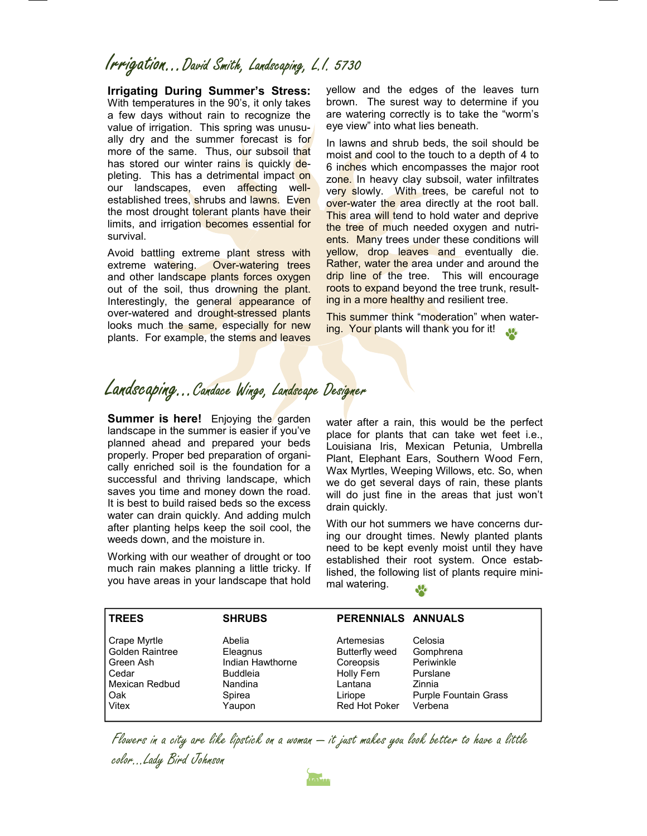## Irrigation...David Smith, Landscaping, L.I. 5730

**Irrigating During Summer's Stress:**  With temperatures in the 90's, it only takes a few days without rain to recognize the value of irrigation. This spring was unusually dry and the summer forecast is for more of the same. Thus, our subsoil that has stored our winter rains is quickly depleting. This has a detrimental impact on our landscapes, even affecting wellestablished trees, shrubs and lawns. Even the most drought tolerant plants have their limits, and irrigation becomes essential for survival.

Avoid battling extreme plant stress with extreme watering. Over-watering trees and other landscape plants forces oxygen out of the soil, thus drowning the plant. Interestingly, the general appearance of over-watered and drought-stressed plants looks much the same, especially for new plants. For example, the stems and leaves

yellow and the edges of the leaves turn brown. The surest way to determine if you are watering correctly is to take the "worm's eye view" into what lies beneath.

In lawns and shrub beds, the soil should be moist and cool to the touch to a depth of 4 to 6 inches which encompasses the major root zone. In heavy clay subsoil, water infiltrates very slowly. With trees, be careful not to over-water the area directly at the root ball. This area will tend to hold water and deprive the tree of much needed oxygen and nutrients. Many trees under these conditions will yellow, drop leaves and eventually die. Rather, water the area under and around the drip line of the tree. This will encourage roots to expand beyond the tree trunk, resulting in a more healthy and resilient tree.

This summer think "moderation" when watering. Your plants will thank you for it!

### Landscaping... Candace Wingo, Landscape Designer

**Summer is here!** Enjoying the garden landscape in the summer is easier if you've planned ahead and prepared your beds properly. Proper bed preparation of organically enriched soil is the foundation for a successful and thriving landscape, which saves you time and money down the road. It is best to build raised beds so the excess water can drain quickly. And adding mulch after planting helps keep the soil cool, the weeds down, and the moisture in.

Working with our weather of drought or too much rain makes planning a little tricky. If you have areas in your landscape that hold

water after a rain, this would be the perfect place for plants that can take wet feet i.e., Louisiana Iris, Mexican Petunia, Umbrella Plant, Elephant Ears, Southern Wood Fern, Wax Myrtles, Weeping Willows, etc. So, when we do get several days of rain, these plants will do just fine in the areas that just won't drain quickly.

With our hot summers we have concerns during our drought times. Newly planted plants need to be kept evenly moist until they have established their root system. Once established, the following list of plants require minimal watering.

| <b>TREES</b>           | <b>SHRUBS</b>    | PERENNIALS ANNUALS   |                              |
|------------------------|------------------|----------------------|------------------------------|
| Crape Myrtle           | Abelia           | Artemesias           | Celosia                      |
| <b>Golden Raintree</b> | Eleagnus         | Butterfly weed       | Gomphrena                    |
| Green Ash              | Indian Hawthorne | Coreopsis            | Periwinkle                   |
| Cedar                  | <b>Buddleia</b>  | Holly Fern           | Purslane                     |
| l Mexican Redbud       | Nandina          | Lantana              | Zinnia                       |
| l Oak                  | Spirea           | Liriope              | <b>Purple Fountain Grass</b> |
| Vitex                  | Yaupon           | <b>Red Hot Poker</b> | Verbena                      |

Flowers in a city are like lipstick on a woman — it just makes you look better to have a little color...Lady Bird Johnson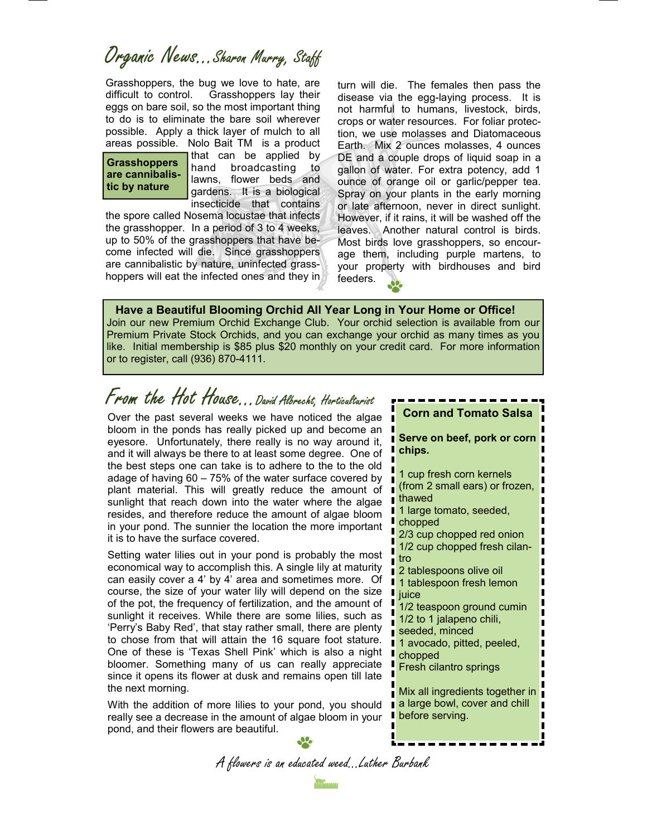Organic News...Sharon Murry, Staff

Grasshoppers, the bug we love to hate, are difficult to control. Grasshoppers lay their eggs on bare soil, so the most important thing to do is to eliminate the bare soil wherever possible. Apply a thick layer of mulch to all areas possible. Nolo Bait TM is a product

**Grasshoppers are cannibalistic by nature** 

that can be applied by hand broadcasting to lawns, flower beds and gardens. It is a biological insecticide that contains

the spore called Nosema locustae that infects the grasshopper. In a period of 3 to 4 weeks, up to 50% of the grasshoppers that have become infected will die. Since grasshoppers are cannibalistic by nature, uninfected grasshoppers will eat the infected ones and they in

turn will die. The females then pass the disease via the egg-laying process. It is not harmful to humans, livestock, birds, crops or water resources. For foliar protection, we use molasses and Diatomaceous Earth. Mix 2 ounces molasses, 4 ounces DE and a couple drops of liquid soap in a gallon of water. For extra potency, add 1 ounce of orange oil or garlic/pepper tea. Spray on your plants in the early morning or late afternoon, never in direct sunlight. However, if it rains, it will be washed off the leaves. Another natural control is birds. Most birds love grasshoppers, so encourage them, including purple martens, to your property with birdhouses and bird feeders.

 **Have a Beautiful Blooming Orchid All Year Long in Your Home or Office!**  Join our new Premium Orchid Exchange Club. Your orchid selection is available from our Premium Private Stock Orchids, and you can exchange your orchid as many times as you like. Initial membership is \$85 plus \$20 monthly on your credit card. For more information or to register, call (936) 870-4111.

# From the Hot House...David Albrecht, Horticulturist

Over the past several weeks we have noticed the algae bloom in the ponds has really picked up and become an eyesore. Unfortunately, there really is no way around it, and it will always be there to at least some degree. One of the best steps one can take is to adhere to the to the old adage of having 60 – 75% of the water surface covered by plant material. This will greatly reduce the amount of sunlight that reach down into the water where the algae resides, and therefore reduce the amount of algae bloom in your pond. The sunnier the location the more important it is to have the surface covered.

Setting water lilies out in your pond is probably the most economical way to accomplish this. A single lily at maturity can easily cover a 4' by 4' area and sometimes more. Of course, the size of your water lily will depend on the size of the pot, the frequency of fertilization, and the amount of sunlight it receives. While there are some lilies, such as 'Perry's Baby Red', that stay rather small, there are plenty to chose from that will attain the 16 square foot stature. One of these is 'Texas Shell Pink' which is also a night bloomer. Something many of us can really appreciate since it opens its flower at dusk and remains open till late the next morning.

With the addition of more lilies to your pond, you should really see a decrease in the amount of algae bloom in your pond, and their flowers are beautiful.

# **Corn and Tomato Salsa**

**Serve on beef, pork or corn chips.** 

1 cup fresh corn kernels (from 2 small ears) or frozen, thawed 1 large tomato, seeded, chopped 2/3 cup chopped red onion 1/2 cup chopped fresh cilantro 2 tablespoons olive oil 1 tablespoon fresh lemon iuice 1/2 teaspoon ground cumin 1/2 to 1 jalapeno chili, seeded, minced 1 avocado, pitted, peeled, chopped Fresh cilantro springs Mix all ingredients together in a large bowl, cover and chill before serving.

A flowers is an educated weed...Luther Burbank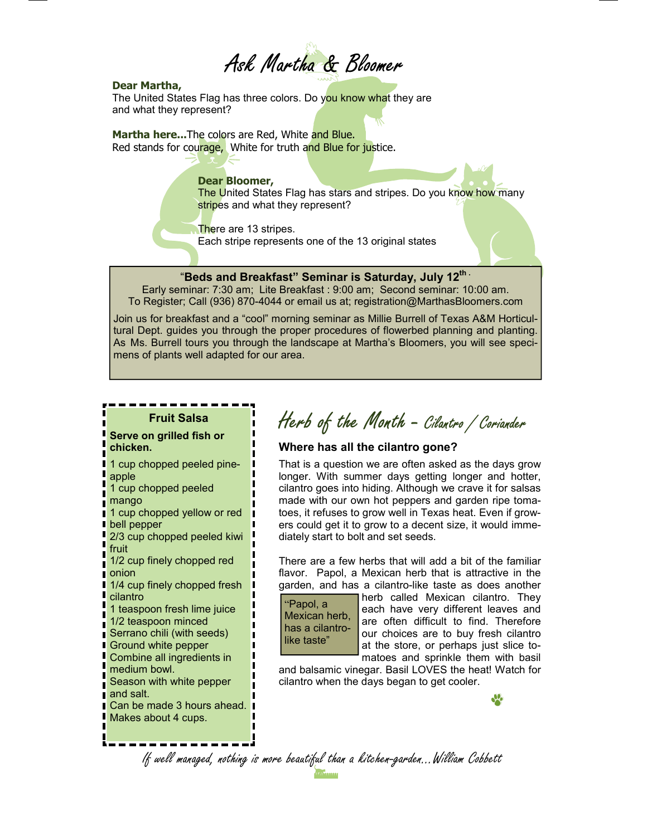

#### **Dear Martha,**

The United States Flag has three colors. Do you know what they are and what they represent?

Martha here...The colors are Red, White and Blue. Red stands for courage, White for truth and Blue for justice.

### **Dear Bloomer,**

The United States Flag has stars and stripes. Do you know how many stripes and what they represent?

There are 13 stripes. Each stripe represents one of the 13 original states

### "**Beds and Breakfast" Seminar is Saturday, July 12th .**

Early seminar: 7:30 am;Lite Breakfast : 9:00 am; Second seminar: 10:00 am. To Register; Call (936) 870-4044 or email us at; registration@MarthasBloomers.com

Join us for breakfast and a "cool" morning seminar as Millie Burrell of Texas A&M Horticultural Dept. guides you through the proper procedures of flowerbed planning and planting. As Ms. Burrell tours you through the landscape at Martha's Bloomers, you will see specimens of plants well adapted for our area.

### **Fruit Salsa**

### **Serve on grilled fish or chicken.**

1 cup chopped peeled pineapple

1 cup chopped peeled

- mango
- 1 cup chopped yellow or red bell pepper
- 2/3 cup chopped peeled kiwi fruit

1/2 cup finely chopped red onion

1/4 cup finely chopped fresh cilantro

1 teaspoon fresh lime juice 1/2 teaspoon minced

- Serrano chili (with seeds)
- **Ground white pepper**
- Combine all ingredients in
- medium bowl. Season with white pepper
- and salt.
- Can be made 3 hours ahead.
- Makes about 4 cups.

# Herb of the Month - Cilantro / Coriander

### **Where has all the cilantro gone?**

That is a question we are often asked as the days grow longer. With summer days getting longer and hotter, cilantro goes into hiding. Although we crave it for salsas made with our own hot peppers and garden ripe tomatoes, it refuses to grow well in Texas heat. Even if growers could get it to grow to a decent size, it would immediately start to bolt and set seeds.

There are a few herbs that will add a bit of the familiar flavor. Papol, a Mexican herb that is attractive in the garden, and has a cilantro-like taste as does another

"Papol, a Mexican herb, has a cilantrolike taste"

herb called Mexican cilantro. They each have very different leaves and are often difficult to find. Therefore our choices are to buy fresh cilantro at the store, or perhaps just slice tomatoes and sprinkle them with basil

and balsamic vinegar. Basil LOVES the heat! Watch for cilantro when the days began to get cooler.

If well managed, nothing is more beautiful than a kitchen-garden...William Cobbett